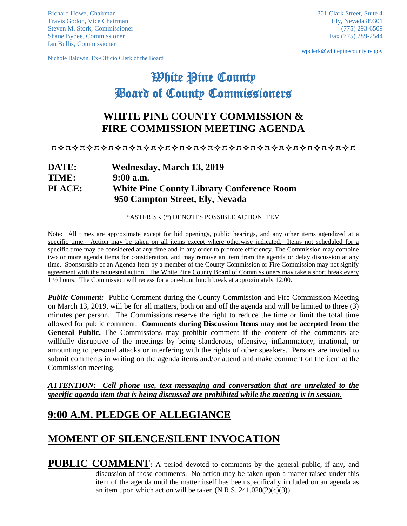Richard Howe, Chairman 801 Clark Street, Suite 4 Travis Godon, Vice Chairman Ely, Nevada 89301<br>Steven M. Stork, Commissioner (775) 293-6509 Steven M. Stork, Commissioner Shane Bybee, Commissioner Fax (775) 289-2544 Ian Bullis, Commissioner

Nichole Baldwin, Ex-Officio Clerk of the Board

[wpclerk@whitepinecountynv.gov](mailto:wpclerk@whitepinecountynv.gov)

# White Pine County Board of County Commissioners

# **WHITE PINE COUNTY COMMISSION & FIRE COMMISSION MEETING AGENDA**

#### 

### **DATE: Wednesday, March 13, 2019 TIME: 9:00 a.m. PLACE: White Pine County Library Conference Room 950 Campton Street, Ely, Nevada**

\*ASTERISK (\*) DENOTES POSSIBLE ACTION ITEM

Note: All times are approximate except for bid openings, public hearings, and any other items agendized at a specific time. Action may be taken on all items except where otherwise indicated. Items not scheduled for a specific time may be considered at any time and in any order to promote efficiency. The Commission may combine two or more agenda items for consideration, and may remove an item from the agenda or delay discussion at any time. Sponsorship of an Agenda Item by a member of the County Commission or Fire Commission may not signify agreement with the requested action. The White Pine County Board of Commissioners may take a short break every 1 ½ hours. The Commission will recess for a one-hour lunch break at approximately 12:00.

*Public Comment:* Public Comment during the County Commission and Fire Commission Meeting on March 13, 2019, will be for all matters, both on and off the agenda and will be limited to three (3) minutes per person. The Commissions reserve the right to reduce the time or limit the total time allowed for public comment. **Comments during Discussion Items may not be accepted from the General Public.** The Commissions may prohibit comment if the content of the comments are willfully disruptive of the meetings by being slanderous, offensive, inflammatory, irrational, or amounting to personal attacks or interfering with the rights of other speakers. Persons are invited to submit comments in writing on the agenda items and/or attend and make comment on the item at the Commission meeting.

*ATTENTION: Cell phone use, text messaging and conversation that are unrelated to the specific agenda item that is being discussed are prohibited while the meeting is in session.* 

### **9:00 A.M. PLEDGE OF ALLEGIANCE**

### **MOMENT OF SILENCE/SILENT INVOCATION**

**PUBLIC COMMENT:** A period devoted to comments by the general public, if any, and discussion of those comments. No action may be taken upon a matter raised under this item of the agenda until the matter itself has been specifically included on an agenda as an item upon which action will be taken  $(N.R.S. 241.020(2)(c)(3))$ .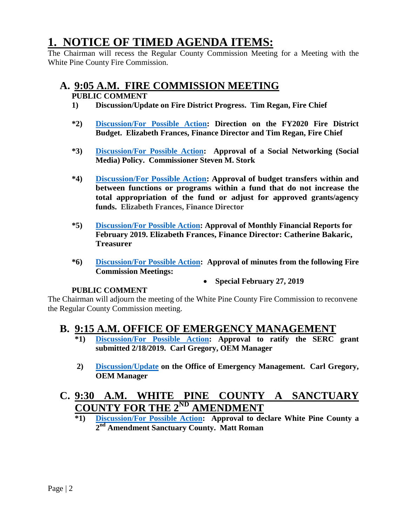# **1. NOTICE OF TIMED AGENDA ITEMS:**

The Chairman will recess the Regular County Commission Meeting for a Meeting with the White Pine County Fire Commission.

### **A. 9:05 A.M. FIRE COMMISSION MEETING**

### **PUBLIC COMMENT**

- **1) Discussion/Update on Fire District Progress. Tim Regan, Fire Chief**
- **\*2) [Discussion/For Possible Action:](https://nv-whitepinecounty2.civicplus.com/DocumentCenter/View/4172/1a2) Direction on the FY2020 Fire District Budget. Elizabeth Frances, Finance Director and Tim Regan, Fire Chief**
- **\*3) [Discussion/For Possible Action:](https://nv-whitepinecounty2.civicplus.com/DocumentCenter/View/4173/1a3) Approval of a Social Networking (Social Media) Policy. Commissioner Steven M. Stork**
- **\*4) [Discussion/For Possible Action:](https://nv-whitepinecounty2.civicplus.com/DocumentCenter/View/4174/1a4) Approval of budget transfers within and between functions or programs within a fund that do not increase the total appropriation of the fund or adjust for approved grants/agency funds. Elizabeth Frances, Finance Director**
- **\*5) [Discussion/For Possible Action:](https://nv-whitepinecounty2.civicplus.com/DocumentCenter/View/4175/1a5) Approval of Monthly Financial Reports for February 2019. Elizabeth Frances, Finance Director: Catherine Bakaric, Treasurer**
- **\*6) [Discussion/For Possible Action:](https://nv-whitepinecounty2.civicplus.com/DocumentCenter/View/4176/1a6) Approval of minutes from the following Fire Commission Meetings:**
	- **Special February 27, 2019**

#### **PUBLIC COMMENT**

The Chairman will adjourn the meeting of the White Pine County Fire Commission to reconvene the Regular County Commission meeting.

### **B. 9:15 A.M. OFFICE OF EMERGENCY MANAGEMENT**

- **\*1) [Discussion/For Possible Action:](https://nv-whitepinecounty2.civicplus.com/DocumentCenter/View/4177/1b1) Approval to ratify the SERC grant submitted 2/18/2019. Carl Gregory, OEM Manager**
- **2) [Discussion/Update](https://nv-whitepinecounty2.civicplus.com/DocumentCenter/View/4178/1b2) on the Office of Emergency Management. Carl Gregory, OEM Manager**

# **C. 9:30 A.M. WHITE PINE COUNTY A SANCTUARY COUNTY FOR THE 2<sup>ND</sup> AMENDMENT**<br>\*1) Discussion/For Possible Action: Approval to de-

**\*1) [Discussion/For Possible Action:](https://nv-whitepinecounty2.civicplus.com/DocumentCenter/View/4179/1c1) Approval to declare White Pine County a 2nd Amendment Sanctuary County. Matt Roman**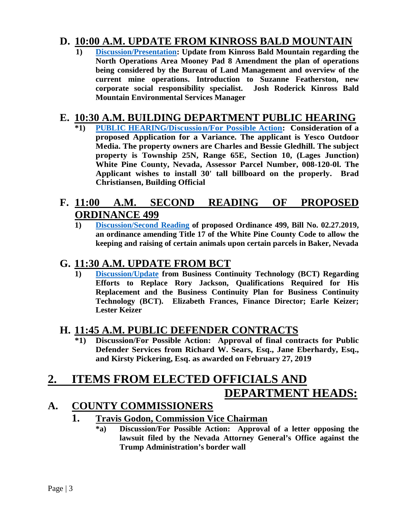# **D. 10:00 A.M. [UPDATE F](https://nv-whitepinecounty2.civicplus.com/DocumentCenter/View/4180/1d1)ROM KINROSS BALD MOUNTAIN** 1) **Discussion/Presentation:** Update from Kinross Bald Mountain regarding the

**North Operations Area Mooney Pad 8 Amendment the plan of operations being considered by the Bureau of Land Management and overview of the current mine operations. Introduction to Suzanne Featherston, new corporate social responsibility specialist. Josh Roderick Kinross Bald Mountain Environmental Services Manager**

# **E. 10:30 A.M. BUILDING DEPARTMENT PUBLIC HEARING**

**\*1) [PUBLIC HEARING/Discussion/For Possible Action:](https://nv-whitepinecounty2.civicplus.com/DocumentCenter/View/4181/1e1) Consideration of a proposed Application for a Variance. The applicant is Yesco Outdoor Media. The property owners are Charles and Bessie Gledhill. The subject property is Township 25N, Range 65E, Section 10, (Lages Junction) White Pine County, Nevada, Assessor Parcel Number, 008-120-0l. The Applicant wishes to install 30' tall billboard on the properly. Brad Christiansen, Building Official**

### **F. 11:00 A.M. SECOND READING OF PROPOSED ORDINANCE 499**

**1) [Discussion/Second Reading](https://nv-whitepinecounty2.civicplus.com/DocumentCenter/View/4182/1f1) of proposed Ordinance 499, Bill No. 02.27.2019, an ordinance amending Title 17 of the White Pine County Code to allow the keeping and raising of certain animals upon certain parcels in Baker, Nevada**

### **G. 11:30 A.M. UPDATE FROM BCT**

**1) [Discussion/Update](https://nv-whitepinecounty2.civicplus.com/DocumentCenter/View/4183/1g1) from Business Continuity Technology (BCT) Regarding Efforts to Replace Rory Jackson, Qualifications Required for His Replacement and the Business Continuity Plan for Business Continuity Technology (BCT). Elizabeth Frances, Finance Director; Earle Keizer; Lester Keizer**

### **H. 11:45 A.M. PUBLIC DEFENDER CONTRACTS**

**\*1) Discussion/For Possible Action: Approval of final contracts for Public Defender Services from Richard W. Sears, Esq., Jane Eberhardy, Esq., and Kirsty Pickering, Esq. as awarded on February 27, 2019**

# **2. ITEMS FROM ELECTED OFFICIALS AND DEPARTMENT HEADS:**

### **A. COUNTY COMMISSIONERS**

### **1. Travis Godon, Commission Vice Chairman**

**\*a) Discussion/For Possible Action: Approval of a letter opposing the lawsuit filed by the Nevada Attorney General's Office against the Trump Administration's border wall**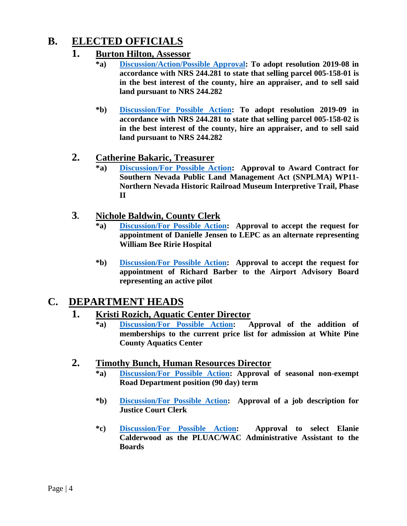# **B. ELECTED OFFICIALS**

### **1. Burton Hilton, Assessor**

- **\*a) [Discussion/Action/Possible Approval:](https://nv-whitepinecounty2.civicplus.com/DocumentCenter/View/4184/2b1a) To adopt resolution 2019-08 in accordance with NRS 244.281 to state that selling parcel 005-158-01 is in the best interest of the county, hire an appraiser, and to sell said land pursuant to NRS 244.282**
- **\*b) [Discussion/For Possible Action:](https://nv-whitepinecounty2.civicplus.com/DocumentCenter/View/4185/2b1b) To adopt resolution 2019-09 in accordance with NRS 244.281 to state that selling parcel 005-158-02 is in the best interest of the county, hire an appraiser, and to sell said land pursuant to NRS 244.282**

### **2. Catherine Bakaric, Treasurer**

**\*a) [Discussion/For Possible Action:](https://nv-whitepinecounty2.civicplus.com/DocumentCenter/View/4186/2b2a) Approval to Award Contract for Southern Nevada Public Land Management Act (SNPLMA) WP11- Northern Nevada Historic Railroad Museum Interpretive Trail, Phase II**

### **3. Nichole Baldwin, County Clerk**

- **\*a) [Discussion/For Possible Action:](https://nv-whitepinecounty2.civicplus.com/DocumentCenter/View/4187/2b3a) Approval to accept the request for appointment of Danielle Jensen to LEPC as an alternate representing William Bee Ririe Hospital**
- **\*b) [Discussion/For Possible Action:](https://nv-whitepinecounty2.civicplus.com/DocumentCenter/View/4188/2b3b) Approval to accept the request for appointment of Richard Barber to the Airport Advisory Board representing an active pilot**

### **C. DEPARTMENT HEADS**

### **1. Kristi Rozich, Aquatic Center Director**

**\*a) [Discussion/For Possible Action:](https://nv-whitepinecounty2.civicplus.com/DocumentCenter/View/4189/2c1a) Approval of the addition of memberships to the current price list for admission at White Pine County Aquatics Center**

### **2. Timothy Bunch, Human Resources Director**

- **\*a) [Discussion/For Possible Action:](https://nv-whitepinecounty2.civicplus.com/DocumentCenter/View/4190/2c2a) Approval of seasonal non-exempt Road Department position (90 day) term**
- **\*b) [Discussion/For Possible Action:](https://nv-whitepinecounty2.civicplus.com/DocumentCenter/View/4191/2c2b) Approval of a job description for Justice Court Clerk**
- **\*c) [Discussion/For Possible Action:](https://nv-whitepinecounty2.civicplus.com/DocumentCenter/View/4192/2c2c) Approval to select Elanie Calderwood as the PLUAC/WAC Administrative Assistant to the Boards**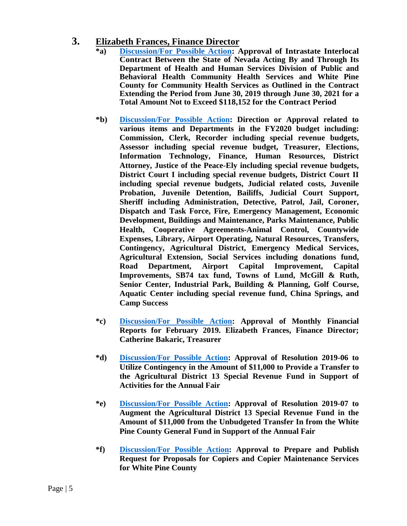### **3. Elizabeth Frances, Finance Director**

- **\*a) [Discussion/For Possible Action:](https://nv-whitepinecounty2.civicplus.com/DocumentCenter/View/4193/2c3a) Approval of Intrastate Interlocal Contract Between the State of Nevada Acting By and Through Its Department of Health and Human Services Division of Public and Behavioral Health Community Health Services and White Pine County for Community Health Services as Outlined in the Contract Extending the Period from June 30, 2019 through June 30, 2021 for a Total Amount Not to Exceed \$118,152 for the Contract Period**
- **\*b) [Discussion/For Possible Action:](https://nv-whitepinecounty2.civicplus.com/DocumentCenter/View/4194/2c3b) Direction or Approval related to various items and Departments in the FY2020 budget including: Commission, Clerk, Recorder including special revenue budgets, Assessor including special revenue budget, Treasurer, Elections, Information Technology, Finance, Human Resources, District Attorney, Justice of the Peace-Ely including special revenue budgets, District Court I including special revenue budgets, District Court II including special revenue budgets, Judicial related costs, Juvenile Probation, Juvenile Detention, Bailiffs, Judicial Court Support, Sheriff including Administration, Detective, Patrol, Jail, Coroner, Dispatch and Task Force, Fire, Emergency Management, Economic Development, Buildings and Maintenance, Parks Maintenance, Public Health, Cooperative Agreements-Animal Control, Countywide Expenses, Library, Airport Operating, Natural Resources, Transfers, Contingency, Agricultural District, Emergency Medical Services, Agricultural Extension, Social Services including donations fund, Road Department, Airport Capital Improvement, Capital Improvements, SB74 tax fund, Towns of Lund, McGill & Ruth, Senior Center, Industrial Park, Building & Planning, Golf Course, Aquatic Center including special revenue fund, China Springs, and Camp Success**
- **\*c) [Discussion/For Possible Action:](https://nv-whitepinecounty2.civicplus.com/DocumentCenter/View/4195/2c3c) Approval of Monthly Financial Reports for February 2019. Elizabeth Frances, Finance Director; Catherine Bakaric, Treasurer**
- **\*d) [Discussion/For Possible Action:](https://nv-whitepinecounty2.civicplus.com/DocumentCenter/View/4196/2c3d) Approval of Resolution 2019-06 to Utilize Contingency in the Amount of \$11,000 to Provide a Transfer to the Agricultural District 13 Special Revenue Fund in Support of Activities for the Annual Fair**
- **\*e) [Discussion/For Possible Action:](https://nv-whitepinecounty2.civicplus.com/DocumentCenter/View/4197/2c3e) Approval of Resolution 2019-07 to Augment the Agricultural District 13 Special Revenue Fund in the Amount of \$11,000 from the Unbudgeted Transfer In from the White Pine County General Fund in Support of the Annual Fair**
- **\*f) [Discussion/For Possible Action:](https://nv-whitepinecounty2.civicplus.com/DocumentCenter/View/4198/2c3f) Approval to Prepare and Publish Request for Proposals for Copiers and Copier Maintenance Services for White Pine County**